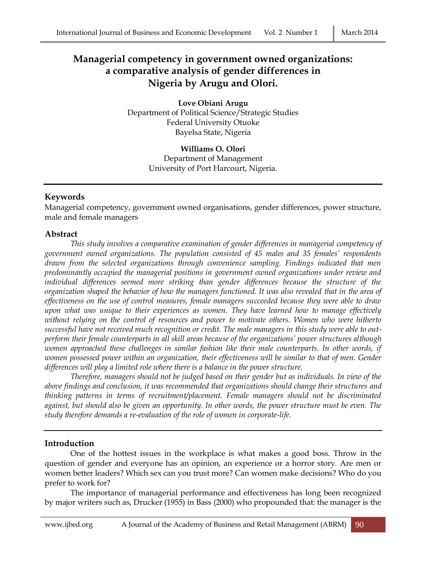# **Managerial competency in government owned organizations: a comparative analysis of gender differences in Nigeria by Arugu and Olori.**

**Love Obiani Arugu** Department of Political Science/Strategic Studies Federal University Otuoke Bayelsa State, Nigeria

> **Williams O. Olori** Department of Management University of Port Harcourt, Nigeria.

# **Keywords**

Managerial competency, government owned organisations, gender differences, power structure, male and female managers

## **Abstract**

*This study involves a comparative examination of gender differences in managerial competency of government owned organizations. The population consisted of 45 males and 35 females' respondents drawn from the selected organizations through convenience sampling. Findings indicated that men predominantly occupied the managerial positions in government owned organizations under review and individual differences seemed more striking than gender differences because the structure of the organization shaped the behavior of how the managers functioned. It was also revealed that in the area of effectiveness on the use of control measures, female managers succeeded because they were able to draw upon what was unique to their experiences as women. They have learned how to manage effectively without relying on the control of resources and power to motivate others. Women who were hitherto successful have not received much recognition or credit. The male managers in this study were able to outperform their female counterparts in all skill areas because of the organizations' power structures although women approached these challenges in similar fashion like their male counterparts. In other words, if women possessed power within an organization, their effectiveness will be similar to that of men. Gender differences will play a limited role where there is a balance in the power structure.* 

*Therefore, managers should not be judged based on their gender but as individuals. In view of the above findings and conclusion, it was recommended that organizations should change their structures and thinking patterns in terms of recruitment/placement. Female managers should not be discriminated against, but should also be given an opportunity. In other words, the power structure must be even. The study therefore demands a re-evaluation of the role of women in corporate-life.*

# **Introduction**

One of the hottest issues in the workplace is what makes a good boss. Throw in the question of gender and everyone has an opinion, an experience or a horror story. Are men or women better leaders? Which sex can you trust more? Can women make decisions? Who do you prefer to work for?

The importance of managerial performance and effectiveness has long been recognized by major writers such as, Drucker (1955) in Bass (2000) who propounded that: the manager is the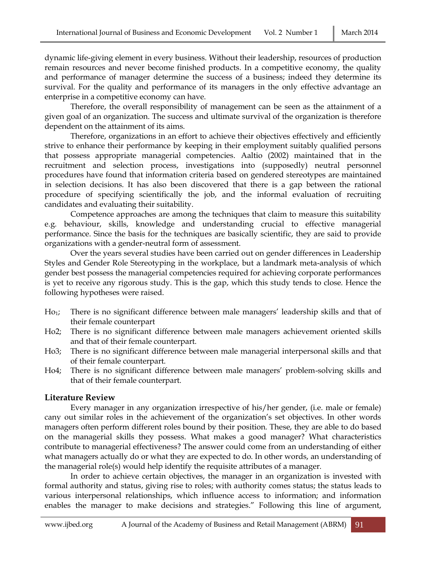dynamic life-giving element in every business. Without their leadership, resources of production remain resources and never become finished products. In a competitive economy, the quality and performance of manager determine the success of a business; indeed they determine its survival. For the quality and performance of its managers in the only effective advantage an enterprise in a competitive economy can have.

Therefore, the overall responsibility of management can be seen as the attainment of a given goal of an organization. The success and ultimate survival of the organization is therefore dependent on the attainment of its aims.

Therefore, organizations in an effort to achieve their objectives effectively and efficiently strive to enhance their performance by keeping in their employment suitably qualified persons that possess appropriate managerial competencies. Aaltio (2002) maintained that in the recruitment and selection process, investigations into (supposedly) neutral personnel procedures have found that information criteria based on gendered stereotypes are maintained in selection decisions. It has also been discovered that there is a gap between the rational procedure of specifying scientifically the job, and the informal evaluation of recruiting candidates and evaluating their suitability.

Competence approaches are among the techniques that claim to measure this suitability e.g. behaviour, skills, knowledge and understanding crucial to effective managerial performance. Since the basis for the techniques are basically scientific, they are said to provide organizations with a gender-neutral form of assessment.

Over the years several studies have been carried out on gender differences in Leadership Styles and Gender Role Stereotyping in the workplace, but a landmark meta-analysis of which gender best possess the managerial competencies required for achieving corporate performances is yet to receive any rigorous study. This is the gap, which this study tends to close. Hence the following hypotheses were raised.

- Ho<sub>1</sub>; There is no significant difference between male managers' leadership skills and that of their female counterpart
- Ho2; There is no significant difference between male managers achievement oriented skills and that of their female counterpart.
- Ho3; There is no significant difference between male managerial interpersonal skills and that of their female counterpart.
- Ho4; There is no significant difference between male managers' problem-solving skills and that of their female counterpart.

#### **Literature Review**

Every manager in any organization irrespective of his/her gender, (i.e. male or female) cany out similar roles in the achievement of the organization's set objectives. In other words managers often perform different roles bound by their position. These, they are able to do based on the managerial skills they possess. What makes a good manager? What characteristics contribute to managerial effectiveness? The answer could come from an understanding of either what managers actually do or what they are expected to do. In other words, an understanding of the managerial role(s) would help identify the requisite attributes of a manager.

In order to achieve certain objectives, the manager in an organization is invested with formal authority and status, giving rise to roles; with authority comes status; the status leads to various interpersonal relationships, which influence access to information; and information enables the manager to make decisions and strategies." Following this line of argument,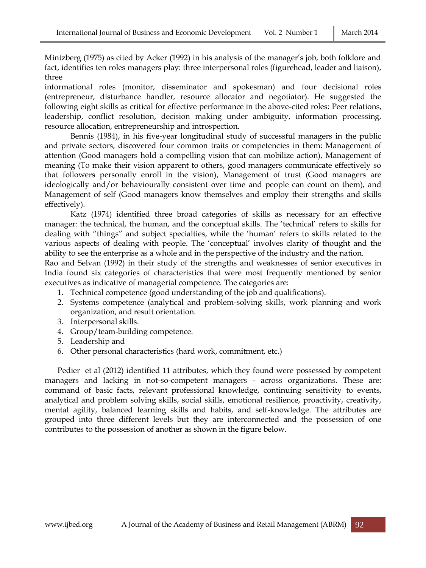Mintzberg (1975) as cited by Acker (1992) in his analysis of the manager's job, both folklore and fact, identifies ten roles managers play: three interpersonal roles (figurehead, leader and liaison), three

informational roles (monitor, disseminator and spokesman) and four decisional roles (entrepreneur, disturbance handler, resource allocator and negotiator). He suggested the following eight skills as critical for effective performance in the above-cited roles: Peer relations, leadership, conflict resolution, decision making under ambiguity, information processing, resource allocation, entrepreneurship and introspection.

Bennis (1984), in his five-year longitudinal study of successful managers in the public and private sectors, discovered four common traits or competencies in them: Management of attention (Good managers hold a compelling vision that can mobilize action), Management of meaning (To make their vision apparent to others, good managers communicate effectively so that followers personally enroll in the vision), Management of trust (Good managers are ideologically and/or behaviourally consistent over time and people can count on them), and Management of self (Good managers know themselves and employ their strengths and skills effectively).

Katz (1974) identified three broad categories of skills as necessary for an effective manager: the technical, the human, and the conceptual skills. The 'technical' refers to skills for dealing with "things" and subject specialties, while the 'human' refers to skills related to the various aspects of dealing with people. The 'conceptual' involves clarity of thought and the ability to see the enterprise as a whole and in the perspective of the industry and the nation.

Rao and Selvan (1992) in their study of the strengths and weaknesses of senior executives in India found six categories of characteristics that were most frequently mentioned by senior executives as indicative of managerial competence. The categories are:

- 1. Technical competence (good understanding of the job and qualifications).
- 2. Systems competence (analytical and problem-solving skills, work planning and work organization, and result orientation.
- 3. Interpersonal skills.
- 4. Group/team-building competence.
- 5. Leadership and
- 6. Other personal characteristics (hard work, commitment, etc.)

Pedier et al (2012) identified 11 attributes, which they found were possessed by competent managers and lacking in not-so-competent managers - across organizations. These are: command of basic facts, relevant professional knowledge, continuing sensitivity to events, analytical and problem solving skills, social skills, emotional resilience, proactivity, creativity, mental agility, balanced learning skills and habits, and self-knowledge. The attributes are grouped into three different levels but they are interconnected and the possession of one contributes to the possession of another as shown in the figure below.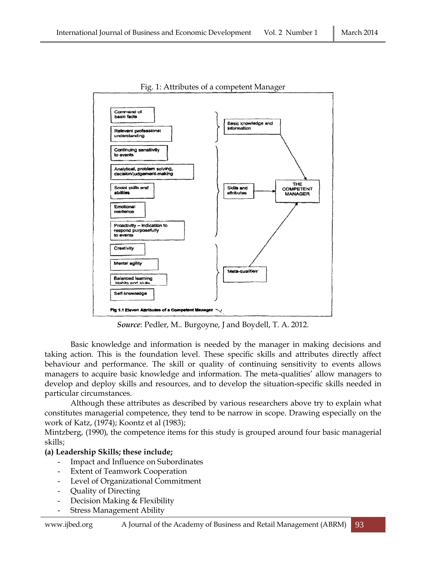

Fig. 1: Attributes of a competent Manager

*Source*: Pedler, M.. Burgoyne, J and Boydell, T. A. 2012.

Basic knowledge and information is needed by the manager in making decisions and taking action. This is the foundation level. These specific skills and attributes directly affect behaviour and performance. The skill or quality of continuing sensitivity to events allows managers to acquire basic knowledge and information. The meta-qualities' allow managers to develop and deploy skills and resources, and to develop the situation-specific skills needed in particular circumstances.

Although these attributes as described by various researchers above try to explain what constitutes managerial competence, they tend to be narrow in scope. Drawing especially on the work of Katz, (1974); Koontz et al (1983);

Mintzberg, (1990), the competence items for this study is grouped around four basic managerial skills;

## **(a) Leadership Skills; these include;**

- Impact and Influence on Subordinates
- **Extent of Teamwork Cooperation**
- Level of Organizational Commitment
- Quality of Directing
- Decision Making & Flexibility
- **Stress Management Ability**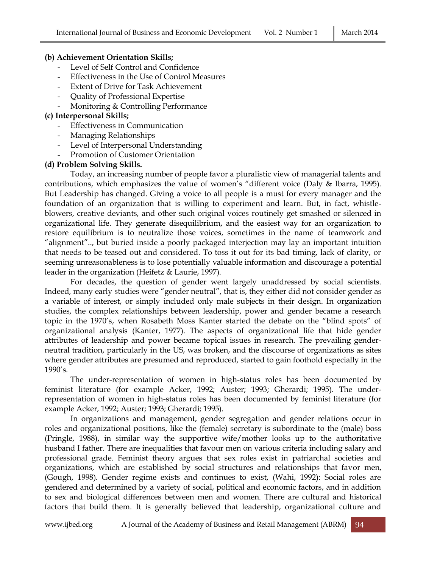#### **(b) Achievement Orientation Skills;**

- Level of Self Control and Confidence
- Effectiveness in the Use of Control Measures
- Extent of Drive for Task Achievement
- Quality of Professional Expertise
- Monitoring & Controlling Performance

#### **(c) Interpersonal Skills;**

- Effectiveness in Communication
- Managing Relationships
- Level of Interpersonal Understanding
- Promotion of Customer Orientation

#### **(d) Problem Solving Skills.**

Today, an increasing number of people favor a pluralistic view of managerial talents and contributions, which emphasizes the value of women's "different voice (Daly & Ibarra, 1995). But Leadership has changed. Giving a voice to all people is a must for every manager and the foundation of an organization that is willing to experiment and learn. But, in fact, whistleblowers, creative deviants, and other such original voices routinely get smashed or silenced in organizational life. They generate disequilibrium, and the easiest way for an organization to restore equilibrium is to neutralize those voices, sometimes in the name of teamwork and "alignment".., but buried inside a poorly packaged interjection may lay an important intuition that needs to be teased out and considered. To toss it out for its bad timing, lack of clarity, or seeming unreasonableness is to lose potentially valuable information and discourage a potential leader in the organization (Heifetz & Laurie, 1997).

For decades, the question of gender went largely unaddressed by social scientists. Indeed, many early studies were "gender neutral", that is, they either did not consider gender as a variable of interest, or simply included only male subjects in their design. In organization studies, the complex relationships between leadership, power and gender became a research topic in the 1970's, when Rosabeth Moss Kanter started the debate on the "blind spots" of organizational analysis (Kanter, 1977). The aspects of organizational life that hide gender attributes of leadership and power became topical issues in research. The prevailing genderneutral tradition, particularly in the US, was broken, and the discourse of organizations as sites where gender attributes are presumed and reproduced, started to gain foothold especially in the 1990's.

The under-representation of women in high-status roles has been documented by feminist literature (for example Acker, 1992; Auster; 1993; Gherardi; 1995). The underrepresentation of women in high-status roles has been documented by feminist literature (for example Acker, 1992; Auster; 1993; Gherardi; 1995).

In organizations and management, gender segregation and gender relations occur in roles and organizational positions, like the (female) secretary is subordinate to the (male) boss (Pringle, 1988), in similar way the supportive wife/mother looks up to the authoritative husband I father. There are inequalities that favour men on various criteria including salary and professional grade. Feminist theory argues that sex roles exist in patriarchal societies and organizations, which are established by social structures and relationships that favor men, (Gough, 1998). Gender regime exists and continues to exist, (Wahi, 1992): Social roles are gendered and determined by a variety of social, political and economic factors, and in addition to sex and biological differences between men and women. There are cultural and historical factors that build them. It is generally believed that leadership, organizational culture and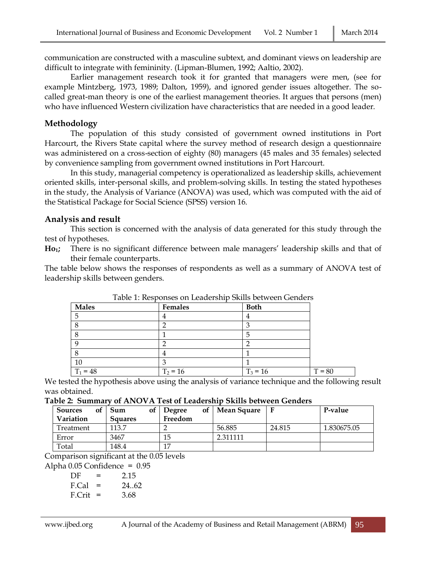communication are constructed with a masculine subtext, and dominant views on leadership are difficult to integrate with femininity. (Lipman-Blumen, 1992; Aaltio, 2002).

Earlier management research took it for granted that managers were men, (see for example Mintzberg, 1973, 1989; Dalton, 1959), and ignored gender issues altogether. The socalled great-man theory is one of the earliest management theories. It argues that persons (men) who have influenced Western civilization have characteristics that are needed in a good leader.

#### **Methodology**

The population of this study consisted of government owned institutions in Port Harcourt, the Rivers State capital where the survey method of research design a questionnaire was administered on a cross-section of eighty (80) managers (45 males and 35 females) selected by convenience sampling from government owned institutions in Port Harcourt.

In this study, managerial competency is operationalized as leadership skills, achievement oriented skills, inter-personal skills, and problem-solving skills. In testing the stated hypotheses in the study, the Analysis of Variance (ANOVA) was used, which was computed with the aid of the Statistical Package for Social Science (SPSS) version 16.

#### **Analysis and result**

This section is concerned with the analysis of data generated for this study through the test of hypotheses.

**Ho1;** There is no significant difference between male managers' leadership skills and that of their female counterparts.

The table below shows the responses of respondents as well as a summary of ANOVA test of leadership skills between genders.

| <b>Males</b> | Females    | <b>Both</b> |        |
|--------------|------------|-------------|--------|
|              |            | 4           |        |
|              |            | n           |        |
|              |            | 5           |        |
|              |            |             |        |
|              |            |             |        |
| 10           |            |             |        |
| $T_1 = 48$   | $T_2 = 16$ | $T_3 = 16$  | $= 80$ |

Table 1: Responses on Leadership Skills between Genders

We tested the hypothesis above using the analysis of variance technique and the following result was obtained.

#### **Table 2: Summary of ANOVA Test of Leadership Skills between Genders**

| <b>Sources</b><br>οf<br>Variation | оf<br>Sum<br><b>Squares</b> | 0f<br><b>Degree</b><br>Freedom | <b>Mean Square</b> |        | P-value     |
|-----------------------------------|-----------------------------|--------------------------------|--------------------|--------|-------------|
| Treatment                         | 113.7                       |                                | 56.885             | 24.815 | 1.830675.05 |
| Error                             | 3467                        | 15                             | 2.311111           |        |             |
| Total                             | 148.4                       | 17                             |                    |        |             |

Comparison significant at the 0.05 levels

Alpha 0.05 Confidence = 0.95

| DF         | =   | 2.15  |
|------------|-----|-------|
| F.Cal      | $=$ | 24.62 |
| $F.Crit =$ |     | 3.68  |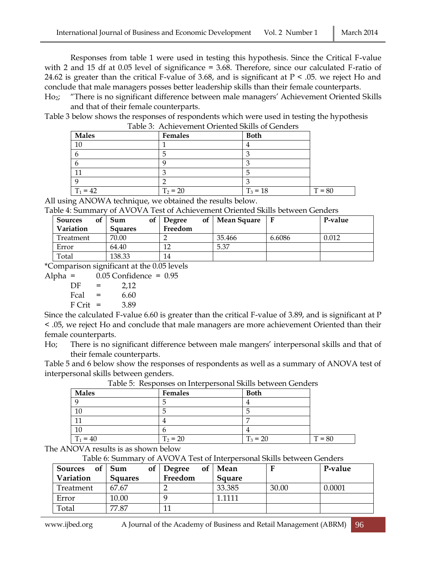Responses from table 1 were used in testing this hypothesis. Since the Critical F-value with 2 and 15 df at 0.05 level of significance = 3.68. Therefore, since our calculated F-ratio of 24.62 is greater than the critical F-value of 3.68, and is significant at  $P \le 0.05$ . we reject Ho and conclude that male managers posses better leadership skills than their female counterparts.

Ho2; "There is no significant difference between male managers' Achievement Oriented Skills and that of their female counterparts.

Table 3 below shows the responses of respondents which were used in testing the hypothesis Table 3: Achievement Oriented Skills of Genders

| Males      | Females    | <b>Both</b> |          |
|------------|------------|-------------|----------|
| 10         |            |             |          |
|            | э          |             |          |
|            |            |             |          |
|            |            |             |          |
|            |            |             |          |
| $T_1 = 42$ | $T_2 = 20$ | $T_3 = 18$  | $T = 80$ |

All using ANOWA technique, we obtained the results below.

Table 4: Summary of AVOVA Test of Achievement Oriented Skills between Genders

| <b>Sources</b><br>οf<br>Variation | Sum<br>оf<br><b>Squares</b> | of <sub>1</sub><br><b>Degree</b><br>Freedom | <b>Mean Square</b> |        | P-value |
|-----------------------------------|-----------------------------|---------------------------------------------|--------------------|--------|---------|
| Treatment                         | 70.00                       |                                             | 35.466             | 6.6086 | 0.012   |
| Error                             | 64.40                       | 12                                          | 5.37               |        |         |
| Total                             | 138.33                      | 14                                          |                    |        |         |

\*Comparison significant at the 0.05 levels

Alpha =  $0.05$  Confidence =  $0.95$  $DF = 2.12$ 

| Fcal   | = | 6.60 |
|--------|---|------|
| F Crit |   | 3.89 |

Since the calculated F-value 6.60 is greater than the critical F-value of 3.89, and is significant at P < .05, we reject Ho and conclude that male managers are more achievement Oriented than their female counterparts.

Ho; There is no significant difference between male mangers' interpersonal skills and that of their female counterparts.

Table 5 and 6 below show the responses of respondents as well as a summary of ANOVA test of interpersonal skills between genders.

| <b>Males</b> | <b>Females</b> | <b>Both</b> |          |
|--------------|----------------|-------------|----------|
|              |                |             |          |
| 10           |                |             |          |
|              |                |             |          |
| 10           |                |             |          |
| $T_1 = 40$   | $T_2 = 20$     | $T_3 = 20$  | $T = 80$ |

Table 5: Responses on Interpersonal Skills between Genders

The ANOVA results is as shown below

Table 6: Summary of AVOVA Test of Interpersonal Skills between Genders

| <b>Sources</b> | of $\vert$ Sum<br>of <sub>1</sub> | Degree  | of   Mean     | г     | P-value |
|----------------|-----------------------------------|---------|---------------|-------|---------|
| Variation      | <b>Squares</b>                    | Freedom | <b>Square</b> |       |         |
| Treatment      | 67.67                             |         | 33.385        | 30.00 | 0.0001  |
| Error          | 10.00                             |         | -1111         |       |         |
| Total          | 77.87                             |         |               |       |         |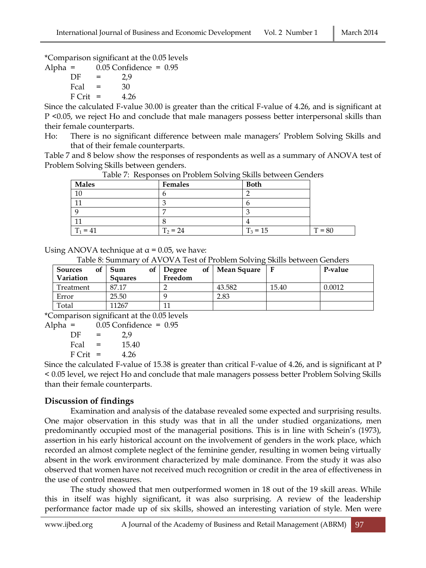\*Comparison significant at the 0.05 levels

Alpha =  $0.05$  Confidence =  $0.95$ 

 $DF = 2.9$  $Feal = 30$  $F$  Crit = 4.26

Since the calculated F-value 30.00 is greater than the critical F-value of 4.26, and is significant at P <0.05, we reject Ho and conclude that male managers possess better interpersonal skills than their female counterparts.

Ho: There is no significant difference between male managers' Problem Solving Skills and that of their female counterparts.

Table 7 and 8 below show the responses of respondents as well as a summary of ANOVA test of Problem Solving Skills between genders.

| <b>Males</b> | Females    | <b>Both</b> |          |
|--------------|------------|-------------|----------|
| 10           |            |             |          |
|              |            |             |          |
|              |            |             |          |
|              |            |             |          |
| $T_1 = 41$   | $T_2 = 24$ | $T_3 = 15$  | $T = 80$ |

Table 7: Responses on Problem Solving Skills between Genders

Using ANOVA technique at  $\alpha$  = 0.05, we have:

Table 8: Summary of AVOVA Test of Problem Solving Skills between Genders

| <b>Sources</b><br>οf | Sum            | of $\vert$ Degree | of   Mean Square |       | P-value |
|----------------------|----------------|-------------------|------------------|-------|---------|
| Variation            | <b>Squares</b> | Freedom           |                  |       |         |
| Treatment            | 87.17          |                   | 43.582           | 15.40 | 0.0012  |
| Error                | 25.50          |                   | 2.83             |       |         |
| Total                | 11267          | 11                |                  |       |         |

\*Comparison significant at the 0.05 levels

| Alpha $=$ |            |     | $0.05$ Confidence = $0.95$ |  |
|-----------|------------|-----|----------------------------|--|
|           | DE         | $=$ | 2.9                        |  |
|           | Fcal       | $=$ | 15.40                      |  |
|           | $F$ Crit = |     | 4.26                       |  |
|           |            |     |                            |  |

Since the calculated F-value of 15.38 is greater than critical F-value of 4.26, and is significant at P < 0.05 level, we reject Ho and conclude that male managers possess better Problem Solving Skills than their female counterparts.

## **Discussion of findings**

Examination and analysis of the database revealed some expected and surprising results. One major observation in this study was that in all the under studied organizations, men predominantly occupied most of the managerial positions. This is in line with Schein's (1973), assertion in his early historical account on the involvement of genders in the work place, which recorded an almost complete neglect of the feminine gender, resulting in women being virtually absent in the work environment characterized by male dominance. From the study it was also observed that women have not received much recognition or credit in the area of effectiveness in the use of control measures.

The study showed that men outperformed women in 18 out of the 19 skill areas. While this in itself was highly significant, it was also surprising. A review of the leadership performance factor made up of six skills, showed an interesting variation of style. Men were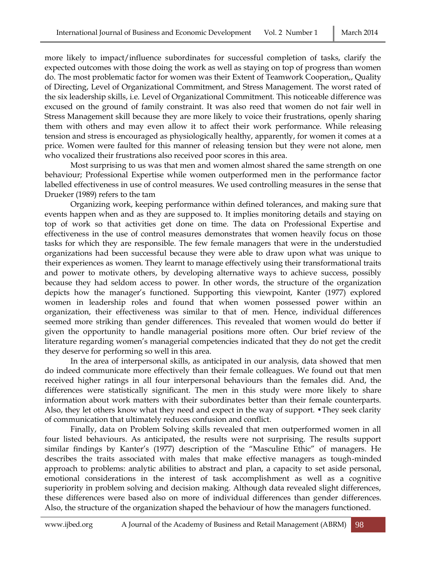more likely to impact/influence subordinates for successful completion of tasks, clarify the expected outcomes with those doing the work as well as staying on top of progress than women do. The most problematic factor for women was their Extent of Teamwork Cooperation,, Quality of Directing, Level of Organizational Commitment, and Stress Management. The worst rated of the six leadership skills, i.e. Level of Organizational Commitment. This noticeable difference was excused on the ground of family constraint. It was also reed that women do not fair well in Stress Management skill because they are more likely to voice their frustrations, openly sharing them with others and may even allow it to affect their work performance. While releasing tension and stress is encouraged as physiologically healthy, apparently, for women it comes at a price. Women were faulted for this manner of releasing tension but they were not alone, men who vocalized their frustrations also received poor scores in this area.

Most surprising to us was that men and women almost shared the same strength on one behaviour; Professional Expertise while women outperformed men in the performance factor labelled effectiveness in use of control measures. We used controlling measures in the sense that Drueker (1989) refers to the tam

Organizing work, keeping performance within defined tolerances, and making sure that events happen when and as they are supposed to. It implies monitoring details and staying on top of work so that activities get done on time. The data on Professional Expertise and effectiveness in the use of control measures demonstrates that women heavily focus on those tasks for which they are responsible. The few female managers that were in the understudied organizations had been successful because they were able to draw upon what was unique to their experiences as women. They learnt to manage effectively using their transformational traits and power to motivate others, by developing alternative ways to achieve success, possibly because they had seldom access to power. In other words, the structure of the organization depicts how the manager's functioned. Supporting this viewpoint, Kanter (1977) explored women in leadership roles and found that when women possessed power within an organization, their effectiveness was similar to that of men. Hence, individual differences seemed more striking than gender differences. This revealed that women would do better if given the opportunity to handle managerial positions more often. Our brief review of the literature regarding women's managerial competencies indicated that they do not get the credit they deserve for performing so well in this area.

In the area of interpersonal skills, as anticipated in our analysis, data showed that men do indeed communicate more effectively than their female colleagues. We found out that men received higher ratings in all four interpersonal behaviours than the females did. And, the differences were statistically significant. The men in this study were more likely to share information about work matters with their subordinates better than their female counterparts. Also, they let others know what they need and expect in the way of support. •They seek clarity of communication that ultimately reduces confusion and conflict.

Finally, data on Problem Solving skills revealed that men outperformed women in all four listed behaviours. As anticipated, the results were not surprising. The results support similar findings by Kanter's (1977) description of the "Masculine Ethic" of managers. He describes the traits associated with males that make effective managers as tough-minded approach to problems: analytic abilities to abstract and plan, a capacity to set aside personal, emotional considerations in the interest of task accomplishment as well as a cognitive superiority in problem solving and decision making. Although data revealed slight differences, these differences were based also on more of individual differences than gender differences. Also, the structure of the organization shaped the behaviour of how the managers functioned.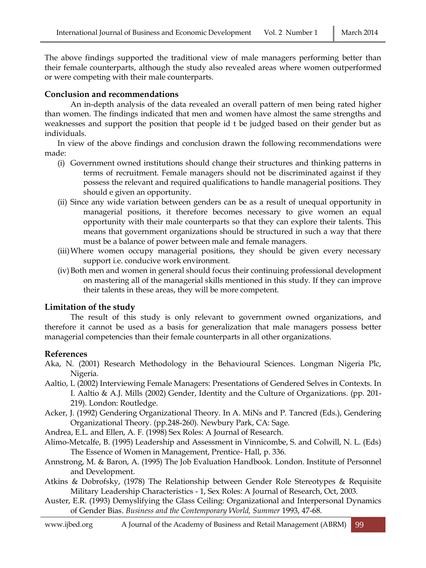The above findings supported the traditional view of male managers performing better than their female counterparts, although the study also revealed areas where women outperformed or were competing with their male counterparts.

#### **Conclusion and recommendations**

An in-depth analysis of the data revealed an overall pattern of men being rated higher than women. The findings indicated that men and women have almost the same strengths and weaknesses and support the position that people id t be judged based on their gender but as individuals.

In view of the above findings and conclusion drawn the following recommendations were made:

- (i) Government owned institutions should change their structures and thinking patterns in terms of recruitment. Female managers should not be discriminated against if they possess the relevant and required qualifications to handle managerial positions. They should e given an opportunity.
- (ii) Since any wide variation between genders can be as a result of unequal opportunity in managerial positions, it therefore becomes necessary to give women an equal opportunity with their male counterparts so that they can explore their talents. This means that government organizations should be structured in such a way that there must be a balance of power between male and female managers.
- (iii)Where women occupy managerial positions, they should be given every necessary support i.e. conducive work environment.
- (iv)Both men and women in general should focus their continuing professional development on mastering all of the managerial skills mentioned in this study. If they can improve their talents in these areas, they will be more competent.

#### **Limitation of the study**

The result of this study is only relevant to government owned organizations, and therefore it cannot be used as a basis for generalization that male managers possess better managerial competencies than their female counterparts in all other organizations.

#### **References**

- Aka, N. (2001) Research Methodology in the Behavioural Sciences. Longman Nigeria Plc, Nigeria.
- Aaltio, L (2002) Interviewing Female Managers: Presentations of Gendered Selves in Contexts. In I. Aaltio & A.J. Mills (2002) Gender, Identity and the Culture of Organizations. (pp. 201- 219). London: Routledge.
- Acker, J. (1992) Gendering Organizational Theory. In A. MiNs and P. Tancred (Eds.), Gendering Organizational Theory. (pp.248-260). Newbury Park, CA: Sage.
- Andrea, E.L. and Ellen, A. F. (1998) Sex Roles: A Journal of Research.
- Alimo-Metcalfe, B. (1995) Leadership and Assessment in Vinnicombe, S. and Colwill, N. L. (Eds) The Essence of Women in Management, Prentice- Hall, p. 336.
- Annstrong, M. & Baron, A. (1995) The Job Evaluation Handbook. London. Institute of Personnel and Development.
- Atkins & Dobrofsky, (1978) The Relationship between Gender Role Stereotypes & Requisite Military Leadership Characteristics - 1, Sex Roles: A Journal of Research, Oct, 2003.
- Auster, E.R. (1993) Demyslifying the Glass Ceiling: Organizational and Interpersonal Dynamics of Gender Bias. *Business and the Contemporary World, Summer* 1993, 47-68.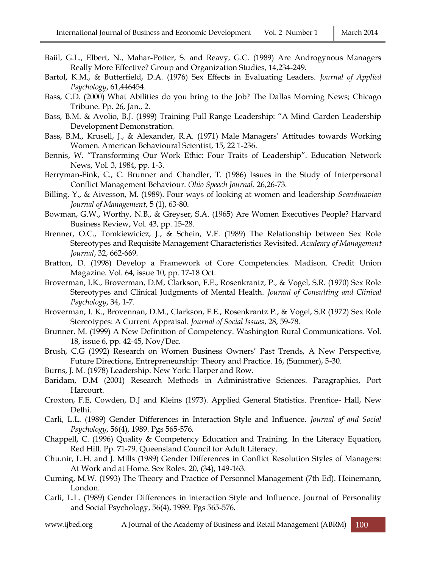- Baiil, G.L., Elbert, N., Mahar-Potter, S. and Reavy, G.C. (1989) Are Androgynous Managers Really More Effective? Group and Organization Studies, 14,234-249.
- Bartol, K.M., & Butterfield, D.A. (1976) Sex Effects in Evaluating Leaders. *Journal of Applied Psychology*, 61,446454.
- Bass, C.D. (2000) What Abilities do you bring to the Job? The Dallas Morning News; Chicago Tribune. Pp. 26, Jan., 2.
- Bass, B.M. & Avolio, B.J. (1999) Training Full Range Leadership: "A Mind Garden Leadership Development Demonstration.
- Bass, B.M., Krusell, J., & Alexander, R.A. (1971) Male Managers' Attitudes towards Working Women. American Behavioural Scientist, 15, 22 1-236.
- Bennis, W. "Transforming Our Work Ethic: Four Traits of Leadership". Education Network News, Vol. 3, 1984, pp. 1-3.
- Berryman-Fink, C., C. Brunner and Chandler, T. (1986) Issues in the Study of Interpersonal Conflict Management Behaviour. *Ohio Speech Journal*. 26,26-73.
- Billing, Y., & Aivesson, M. (1989). Four ways of looking at women and leadership *Scandinavian Journal of Management*, 5 (1), 63-80.
- Bowman, G.W., Worthy, N.B., & Greyser, S.A. (1965) Are Women Executives People? Harvard Business Review, Vol. 43, pp. 15-28.
- Brenner, O.C., Tomkiewicicz, J., & Schein, V.E. (1989) The Relationship between Sex Role Stereotypes and Requisite Management Characteristics Revisited. *Academy of Management Journal*, 32, 662-669.
- Bratton, D. (1998) Develop a Framework of Core Competencies. Madison. Credit Union Magazine. Vol. 64, issue 10, pp. 17-18 Oct.
- Broverman, I.K., Broverman, D.M, Clarkson, F.E., Rosenkrantz, P., & Vogel, S.R. (1970) Sex Role Stereotypes and Clinical Judgments of Mental Health. *Journal of Consulting and Clinical Psychology*, 34, 1-7.
- Broverman, I. K., Brovennan, D.M., Clarkson, F.E., Rosenkrantz P., & Vogel, S.R (1972) Sex Role Stereotypes: A Current Appraisal. *Journal of Social Issues*, 28, 59-78.
- Brunner, M. (1999) A New Definition of Competency. Washington Rural Communications. Vol. 18, issue 6, pp. 42-45, Nov/Dec.
- Brush, C.G (1992) Research on Women Business Owners' Past Trends, A New Perspective, Future Directions, Entrepreneurship: Theory and Practice. 16, (Summer), 5-30.
- Burns, J. M. (1978) Leadership. New York: Harper and Row.
- Baridam, D.M (2001) Research Methods in Administrative Sciences. Paragraphics, Port Harcourt.
- Croxton, F.E, Cowden, D.J and Kleins (1973). Applied General Statistics. Prentice- Hall, New Delhi.
- Carli, L.L. (1989) Gender Differences in Interaction Style and Influence. *Journal of and Social Psychology*, 56(4), 1989. Pgs 565-576.
- Chappell, C. (1996) Quality & Competency Education and Training. In the Literacy Equation, Red Hill. Pp. 71-79. Queensland Council for Adult Literacy.
- Chu.nir, L.H. and J. Mills (1989) Gender Differences in Conflict Resolution Styles of Managers: At Work and at Home. Sex Roles. 20, (34), 149-163.
- Cuming, M.W. (1993) The Theory and Practice of Personnel Management (7th Ed). Heinemann, London.
- Carli, L.L. (1989) Gender Differences in interaction Style and Influence. Journal of Personality and Social Psychology, 56(4), 1989. Pgs 565-576.